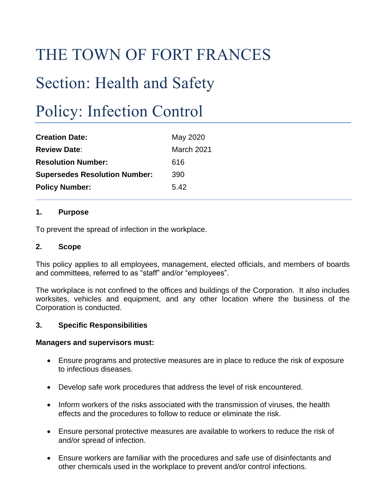# THE TOWN OF FORT FRANCES

# Section: Health and Safety

# Policy: Infection Control

| <b>Creation Date:</b>                | May 2020          |
|--------------------------------------|-------------------|
| <b>Review Date:</b>                  | <b>March 2021</b> |
| <b>Resolution Number:</b>            | 616               |
| <b>Supersedes Resolution Number:</b> | 390               |
| <b>Policy Number:</b>                | 5.42              |

## **1. Purpose**

To prevent the spread of infection in the workplace.

## **2. Scope**

This policy applies to all employees, management, elected officials, and members of boards and committees, referred to as "staff" and/or "employees".

The workplace is not confined to the offices and buildings of the Corporation. It also includes worksites, vehicles and equipment, and any other location where the business of the Corporation is conducted.

## **3. Specific Responsibilities**

#### **Managers and supervisors must:**

- Ensure programs and protective measures are in place to reduce the risk of exposure to infectious diseases.
- Develop safe work procedures that address the level of risk encountered.
- Inform workers of the risks associated with the transmission of viruses, the health effects and the procedures to follow to reduce or eliminate the risk.
- Ensure personal protective measures are available to workers to reduce the risk of and/or spread of infection.
- Ensure workers are familiar with the procedures and safe use of disinfectants and other chemicals used in the workplace to prevent and/or control infections.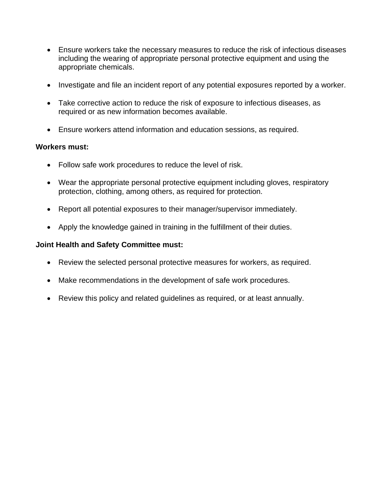- Ensure workers take the necessary measures to reduce the risk of infectious diseases including the wearing of appropriate personal protective equipment and using the appropriate chemicals.
- Investigate and file an incident report of any potential exposures reported by a worker.
- Take corrective action to reduce the risk of exposure to infectious diseases, as required or as new information becomes available.
- Ensure workers attend information and education sessions, as required.

## **Workers must:**

- Follow safe work procedures to reduce the level of risk.
- Wear the appropriate personal protective equipment including gloves, respiratory protection, clothing, among others, as required for protection.
- Report all potential exposures to their manager/supervisor immediately.
- Apply the knowledge gained in training in the fulfillment of their duties.

## **Joint Health and Safety Committee must:**

- Review the selected personal protective measures for workers, as required.
- Make recommendations in the development of safe work procedures.
- Review this policy and related guidelines as required, or at least annually.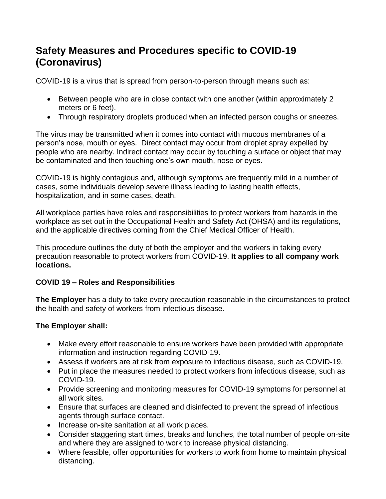## **Safety Measures and Procedures specific to COVID-19 (Coronavirus)**

COVID‐19 is a virus that is spread from person‐to‐person through means such as:

- Between people who are in close contact with one another (within approximately 2 meters or 6 feet).
- Through respiratory droplets produced when an infected person coughs or sneezes.

The virus may be transmitted when it comes into contact with mucous membranes of a person's nose, mouth or eyes. Direct contact may occur from droplet spray expelled by people who are nearby. Indirect contact may occur by touching a surface or object that may be contaminated and then touching one's own mouth, nose or eyes.

COVID‐19 is highly contagious and, although symptoms are frequently mild in a number of cases, some individuals develop severe illness leading to lasting health effects, hospitalization, and in some cases, death.

All workplace parties have roles and responsibilities to protect workers from hazards in the workplace as set out in the Occupational Health and Safety Act (OHSA) and its regulations, and the applicable directives coming from the Chief Medical Officer of Health.

This procedure outlines the duty of both the employer and the workers in taking every precaution reasonable to protect workers from COVID-19. **It applies to all company work locations.**

## **COVID 19 – Roles and Responsibilities**

**The Employer** has a duty to take every precaution reasonable in the circumstances to protect the health and safety of workers from infectious disease.

## **The Employer shall:**

- Make every effort reasonable to ensure workers have been provided with appropriate information and instruction regarding COVID‐19.
- Assess if workers are at risk from exposure to infectious disease, such as COVID‐19.
- Put in place the measures needed to protect workers from infectious disease, such as COVID‐19.
- Provide screening and monitoring measures for COVID‐19 symptoms for personnel at all work sites.
- Ensure that surfaces are cleaned and disinfected to prevent the spread of infectious agents through surface contact.
- Increase on‐site sanitation at all work places.
- Consider staggering start times, breaks and lunches, the total number of people on-site and where they are assigned to work to increase physical distancing.
- Where feasible, offer opportunities for workers to work from home to maintain physical distancing.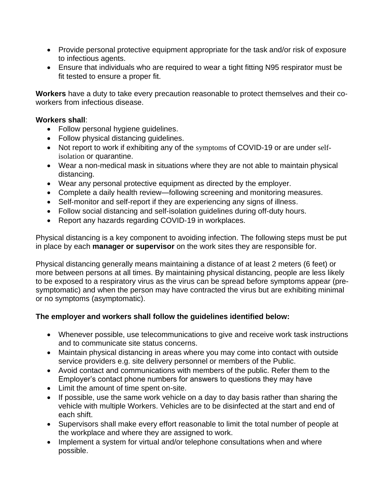- Provide personal protective equipment appropriate for the task and/or risk of exposure to infectious agents.
- Ensure that individuals who are required to wear a tight fitting N95 respirator must be fit tested to ensure a proper fit.

**Workers** have a duty to take every precaution reasonable to protect themselves and their co‐ workers from infectious disease.

### **Workers shall**:

- Follow personal hygiene guidelines.
- Follow physical distancing guidelines.
- Not report to work if exhibiting any of the symptoms of COVID-19 or are under selfisolation or quarantine.
- Wear a non-medical mask in situations where they are not able to maintain physical distancing.
- Wear any personal protective equipment as directed by the employer.
- Complete a daily health review—following screening and monitoring measures.
- Self-monitor and self-report if they are experiencing any signs of illness.
- Follow social distancing and self‐isolation guidelines during off‐duty hours.
- Report any hazards regarding COVID-19 in workplaces.

Physical distancing is a key component to avoiding infection. The following steps must be put in place by each **manager or supervisor** on the work sites they are responsible for.

Physical distancing generally means maintaining a distance of at least 2 meters (6 feet) or more between persons at all times. By maintaining physical distancing, people are less likely to be exposed to a respiratory virus as the virus can be spread before symptoms appear (presymptomatic) and when the person may have contracted the virus but are exhibiting minimal or no symptoms (asymptomatic).

## **The employer and workers shall follow the guidelines identified below:**

- Whenever possible, use telecommunications to give and receive work task instructions and to communicate site status concerns.
- Maintain physical distancing in areas where you may come into contact with outside service providers e.g. site delivery personnel or members of the Public.
- Avoid contact and communications with members of the public. Refer them to the Employer's contact phone numbers for answers to questions they may have
- Limit the amount of time spent on-site.
- If possible, use the same work vehicle on a day to day basis rather than sharing the vehicle with multiple Workers. Vehicles are to be disinfected at the start and end of each shift.
- Supervisors shall make every effort reasonable to limit the total number of people at the workplace and where they are assigned to work.
- Implement a system for virtual and/or telephone consultations when and where possible.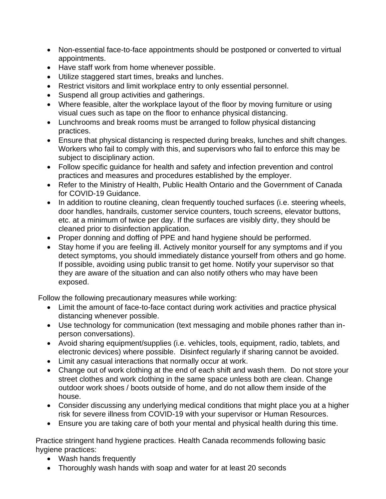- Non-essential face-to-face appointments should be postponed or converted to virtual appointments.
- Have staff work from home whenever possible.
- Utilize staggered start times, breaks and lunches.
- Restrict visitors and limit workplace entry to only essential personnel.
- Suspend all group activities and gatherings.
- Where feasible, alter the workplace layout of the floor by moving furniture or using visual cues such as tape on the floor to enhance physical distancing.
- Lunchrooms and break rooms must be arranged to follow physical distancing practices.
- Ensure that physical distancing is respected during breaks, lunches and shift changes. Workers who fail to comply with this, and supervisors who fail to enforce this may be subject to disciplinary action.
- Follow specific guidance for health and safety and infection prevention and control practices and measures and procedures established by the employer.
- Refer to the Ministry of Health, Public Health Ontario and the Government of Canada for COVID-19 Guidance.
- In addition to routine cleaning, clean frequently touched surfaces (i.e. steering wheels, door handles, handrails, customer service counters, touch screens, elevator buttons, etc. at a minimum of twice per day. If the surfaces are visibly dirty, they should be cleaned prior to disinfection application.
- Proper donning and doffing of PPE and hand hygiene should be performed.
- Stay home if you are feeling ill. Actively [monitor yourself](https://www.publichealthontario.ca/-/media/documents/ncov/factsheet-covid-19-self-monitor.pdf?la=en) for any symptoms and if you detect symptoms, you should immediately distance yourself from others and go home. If possible, avoiding using public transit to get home. Notify your supervisor so that they are aware of the situation and can also notify others who may have been exposed.

Follow the following precautionary measures while working:

- Limit the amount of face-to-face contact during work activities and practice physical distancing whenever possible.
- Use technology for communication (text messaging and mobile phones rather than inperson conversations).
- Avoid sharing equipment/supplies (i.e. vehicles, tools, equipment, radio, tablets, and electronic devices) where possible. Disinfect regularly if sharing cannot be avoided.
- Limit any casual interactions that normally occur at work.
- Change out of work clothing at the end of each shift and wash them. Do not store your street clothes and work clothing in the same space unless both are clean. Change outdoor work shoes / boots outside of home, and do not allow them inside of the house.
- Consider discussing any underlying medical conditions that might place you at a higher risk for severe illness from COVID-19 with your supervisor or Human Resources.
- Ensure you are taking care of both your mental and physical health during this time.

Practice stringent hand hygiene practices. Health Canada recommends following basic hygiene practices:

- Wash hands frequently
- Thoroughly wash hands with soap and water for at least 20 seconds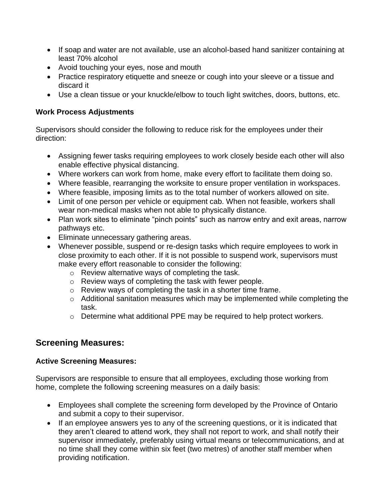- If soap and water are not available, use an alcohol-based hand sanitizer containing at least 70% alcohol
- Avoid touching your eyes, nose and mouth
- Practice respiratory etiquette and sneeze or cough into your sleeve or a tissue and discard it
- Use a clean tissue or your knuckle/elbow to touch light switches, doors, buttons, etc.

## **Work Process Adjustments**

Supervisors should consider the following to reduce risk for the employees under their direction:

- Assigning fewer tasks requiring employees to work closely beside each other will also enable effective physical distancing.
- Where workers can work from home, make every effort to facilitate them doing so.
- Where feasible, rearranging the worksite to ensure proper ventilation in workspaces.
- Where feasible, imposing limits as to the total number of workers allowed on site.
- Limit of one person per vehicle or equipment cab. When not feasible, workers shall wear non-medical masks when not able to physically distance.
- Plan work sites to eliminate "pinch points" such as narrow entry and exit areas, narrow pathways etc.
- Eliminate unnecessary gathering areas.
- Whenever possible, suspend or re-design tasks which require employees to work in close proximity to each other. If it is not possible to suspend work, supervisors must make every effort reasonable to consider the following:
	- o Review alternative ways of completing the task.
	- o Review ways of completing the task with fewer people.
	- o Review ways of completing the task in a shorter time frame.
	- o Additional sanitation measures which may be implemented while completing the task.
	- o Determine what additional PPE may be required to help protect workers.

## **Screening Measures:**

## **Active Screening Measures:**

Supervisors are responsible to ensure that all employees, excluding those working from home, complete the following screening measures on a daily basis:

- Employees shall complete the screening form developed by the Province of Ontario and submit a copy to their supervisor.
- If an employee answers yes to any of the screening questions, or it is indicated that they aren't cleared to attend work, they shall not report to work, and shall notify their supervisor immediately, preferably using virtual means or telecommunications, and at no time shall they come within six feet (two metres) of another staff member when providing notification.